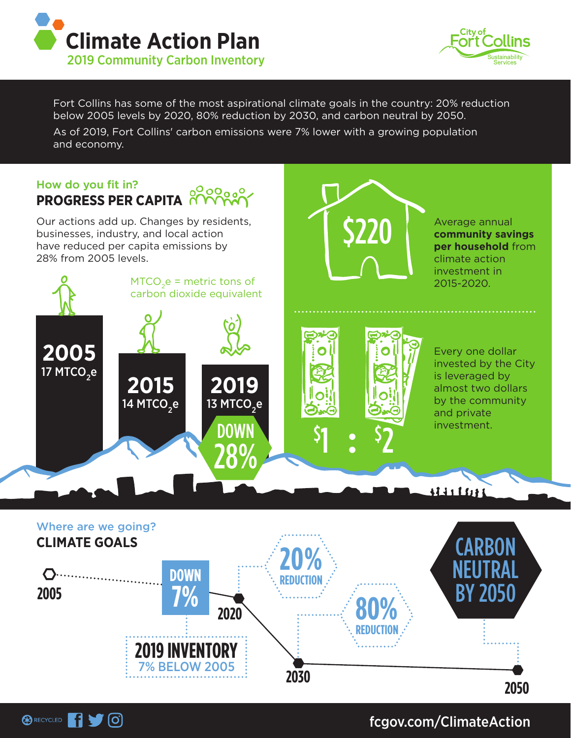



Average annual **community savings per household** from

climate action

Fort Collins has some of the most aspirational climate goals in the country: 20% reduction below 2005 levels by 2020, 80% reduction by 2030, and carbon neutral by 2050. As of 2019, Fort Collins' carbon emissions were 7% lower with a growing population and economy.

\$220

## How do you fit in? **PROGRESS PER CAPITA PROGRESS**

Our actions add up. Changes by residents, businesses, industry, and local action have reduced per capita emissions by 28% from 2005 levels.

**BRECYCLED** 1 0